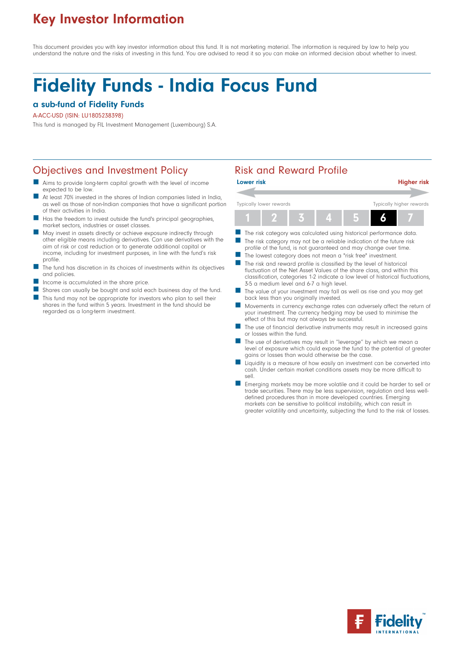## Key Investor Information

This document provides you with key investor information about this fund. It is not marketing material. The information is required by law to help you understand the nature and the risks of investing in this fund. You are advised to read it so you can make an informed decision about whether to invest.

# Fidelity Funds - India Focus Fund

## a sub-fund of Fidelity Funds

### A-ACC-USD (ISIN: LU1805238398)

This fund is managed by FIL Investment Management (Luxembourg) S.A.

## Objectives and Investment Policy **Risk and Reward Profile**

- Aims to provide long-term capital growth with the level of income expected to be low.
- At least 70% invested in the shares of Indian companies listed in India, as well as those of non-Indian companies that have a significant portion of their activities in India.
- Has the freedom to invest outside the fund's principal geographies, market sectors, industries or asset classes.
- May invest in assets directly or achieve exposure indirectly through other eligible means including derivatives. Can use derivatives with the aim of risk or cost reduction or to generate additional capital or income, including for investment purposes, in line with the fund's risk profile.
- $\blacksquare$  The fund has discretion in its choices of investments within its objectives and policies.
- Income is accumulated in the share price.

regarded as a long-term investment.

 Shares can usually be bought and sold each business day of the fund. This fund may not be appropriate for investors who plan to sell their shares in the fund within 5 years. Investment in the fund should be



- $\blacksquare$  The risk category may not be a reliable indication of the future risk profile of the fund, is not guaranteed and may change over time.
- The lowest category does not mean a "risk free" investment.
- The risk and reward profile is classified by the level of historical fluctuation of the Net Asset Values of the share class, and within this classification, categories 1-2 indicate a low level of historical fluctuations, 3-5 a medium level and 6-7 a high level.
- The value of your investment may fall as well as rise and you may get back less than you originally invested.
- Movements in currency exchange rates can adversely affect the return of your investment. The currency hedging may be used to minimise the effect of this but may not always be successful.
- The use of financial derivative instruments may result in increased gains or losses within the fund.
- The use of derivatives may result in "leverage" by which we mean a level of exposure which could expose the fund to the potential of greater gains or losses than would otherwise be the case.
- Liquidity is a measure of how easily an investment can be converted into cash. Under certain market conditions assets may be more difficult to sell.
- Emerging markets may be more volatile and it could be harder to sell or trade securities. There may be less supervision, regulation and less welldefined procedures than in more developed countries. Emerging markets can be sensitive to political instability, which can result in greater volatility and uncertainty, subjecting the fund to the risk of losses.